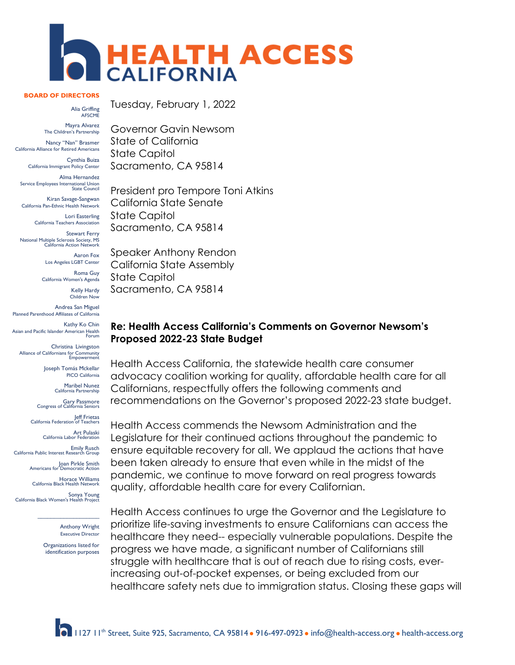

#### **BOARD OF DIRECTORS**

Alia Griffing AFSCME

Mayra Alvarez The Children's Partnership

Nancy "Nan" Brasmer California Alliance for Retired Americans

Cynthia Buiza California Immigrant Policy Center

Alma Hernandez Service Employees International Union State Council

Kiran Savage-Sangwan California Pan-Ethnic Health Network

> Lori Easterling California Teachers Association

Stewart Ferry<br>National Multiple Sclerosis Society, MS California Action Network

> Aaron Fox Los Angeles LGBT Center

Roma Guy California Women's Agenda

> Kelly Hardy Children Now

Andrea San Miguel Planned Parenthood Affiliates of California

Kathy Ko Chin Asian and Pacific Islander American Health Forum

Christina Livingston Alliance of Californians for Community Empowerment

> Joseph Tomás Mckellar PICO California

> > Maribel Nunez California Partnership

Gary Passmore Congress of California Seniors

Jeff Frietas California Federation of Teachers

Art Pulaski California Labor Federation

Emily Rusch California Public Interest Research Group

Joan Pirkle Smith<br>Americans for Democratic Action

Horace Williams California Black Health Network

Sonya Young California Black Women's Health Project

 $\mathcal{L}=\mathcal{L}^{\mathcal{L}}$  , where  $\mathcal{L}^{\mathcal{L}}$  , we have the set of the set of the set of the set of the set of the set of the set of the set of the set of the set of the set of the set of the set of the set of the set of Anthony Wright Executive Director

Organizations listed for identification purposes Tuesday, February 1, 2022

Governor Gavin Newsom State of California State Capitol Sacramento, CA 95814

President pro Tempore Toni Atkins California State Senate State Capitol Sacramento, CA 95814

Speaker Anthony Rendon California State Assembly State Capitol Sacramento, CA 95814

#### **Re: Health Access California's Comments on Governor Newsom's Proposed 2022-23 State Budget**

Health Access California, the statewide health care consumer advocacy coalition working for quality, affordable health care for all Californians, respectfully offers the following comments and recommendations on the Governor's proposed 2022-23 state budget.

Health Access commends the Newsom Administration and the Legislature for their continued actions throughout the pandemic to ensure equitable recovery for all. We applaud the actions that have been taken already to ensure that even while in the midst of the pandemic, we continue to move forward on real progress towards quality, affordable health care for every Californian.

Health Access continues to urge the Governor and the Legislature to prioritize life-saving investments to ensure Californians can access the healthcare they need-- especially vulnerable populations. Despite the progress we have made, a significant number of Californians still struggle with healthcare that is out of reach due to rising costs, everincreasing out-of-pocket expenses, or being excluded from our healthcare safety nets due to immigration status. Closing these gaps will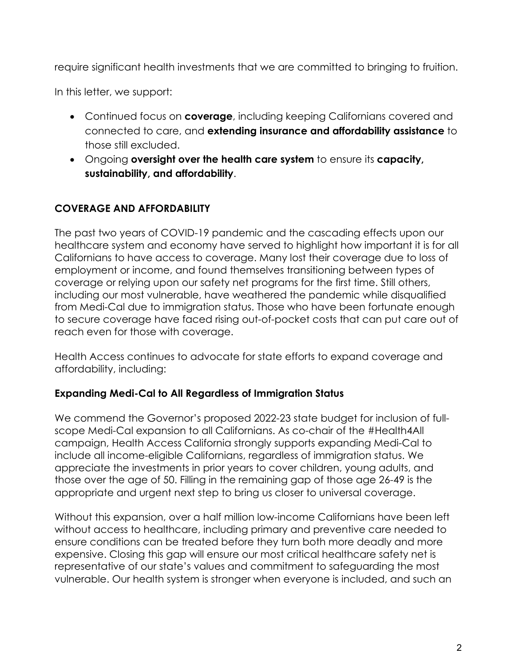require significant health investments that we are committed to bringing to fruition.

In this letter, we support:

- Continued focus on **coverage**, including keeping Californians covered and connected to care, and **extending insurance and affordability assistance** to those still excluded.
- Ongoing **oversight over the health care system** to ensure its **capacity, sustainability, and affordability**.

# **COVERAGE AND AFFORDABILITY**

The past two years of COVID-19 pandemic and the cascading effects upon our healthcare system and economy have served to highlight how important it is for all Californians to have access to coverage. Many lost their coverage due to loss of employment or income, and found themselves transitioning between types of coverage or relying upon our safety net programs for the first time. Still others, including our most vulnerable, have weathered the pandemic while disqualified from Medi-Cal due to immigration status. Those who have been fortunate enough to secure coverage have faced rising out-of-pocket costs that can put care out of reach even for those with coverage.

Health Access continues to advocate for state efforts to expand coverage and affordability, including:

#### **Expanding Medi-Cal to All Regardless of Immigration Status**

We commend the Governor's proposed 2022-23 state budget for inclusion of fullscope Medi-Cal expansion to all Californians. As co-chair of the #Health4All campaign, Health Access California strongly supports expanding Medi-Cal to include all income-eligible Californians, regardless of immigration status. We appreciate the investments in prior years to cover children, young adults, and those over the age of 50. Filling in the remaining gap of those age 26-49 is the appropriate and urgent next step to bring us closer to universal coverage.

Without this expansion, over a half million low-income Californians have been left without access to healthcare, including primary and preventive care needed to ensure conditions can be treated before they turn both more deadly and more expensive. Closing this gap will ensure our most critical healthcare safety net is representative of our state's values and commitment to safeguarding the most vulnerable. Our health system is stronger when everyone is included, and such an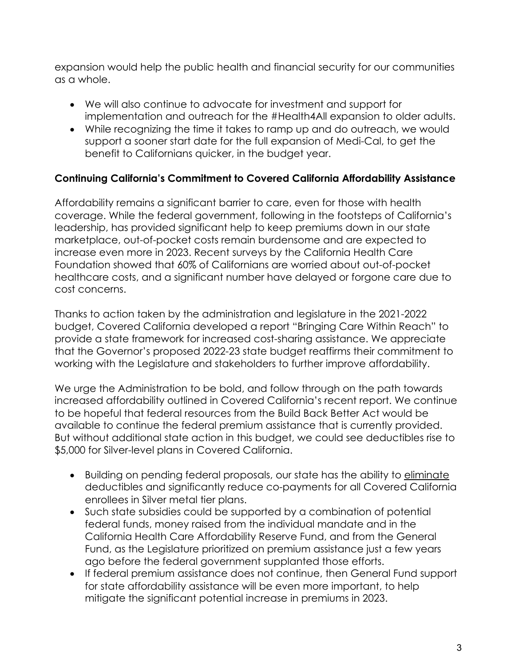expansion would help the public health and financial security for our communities as a whole.

- We will also continue to advocate for investment and support for implementation and outreach for the #Health4All expansion to older adults.
- While recognizing the time it takes to ramp up and do outreach, we would support a sooner start date for the full expansion of Medi-Cal, to get the benefit to Californians quicker, in the budget year.

# **Continuing California's Commitment to Covered California Affordability Assistance**

Affordability remains a significant barrier to care, even for those with health coverage. While the federal government, following in the footsteps of California's leadership, has provided significant help to keep premiums down in our state marketplace, out-of-pocket costs remain burdensome and are expected to increase even more in 2023. Recent surveys by the California Health Care Foundation showed that 60% of Californians are worried about out-of-pocket healthcare costs, and a significant number have delayed or forgone care due to cost concerns.

Thanks to action taken by the administration and legislature in the 2021-2022 budget, Covered California developed a report "Bringing Care Within Reach" to provide a state framework for increased cost-sharing assistance. We appreciate that the Governor's proposed 2022-23 state budget reaffirms their commitment to working with the Legislature and stakeholders to further improve affordability.

We urge the Administration to be bold, and follow through on the path towards increased affordability outlined in Covered California's recent report. We continue to be hopeful that federal resources from the Build Back Better Act would be available to continue the federal premium assistance that is currently provided. But without additional state action in this budget, we could see deductibles rise to \$5,000 for Silver-level plans in Covered California.

- Building on pending federal proposals, our state has the ability to eliminate deductibles and significantly reduce co-payments for all Covered California enrollees in Silver metal tier plans.
- Such state subsidies could be supported by a combination of potential federal funds, money raised from the individual mandate and in the California Health Care Affordability Reserve Fund, and from the General Fund, as the Legislature prioritized on premium assistance just a few years ago before the federal government supplanted those efforts.
- If federal premium assistance does not continue, then General Fund support for state affordability assistance will be even more important, to help mitigate the significant potential increase in premiums in 2023.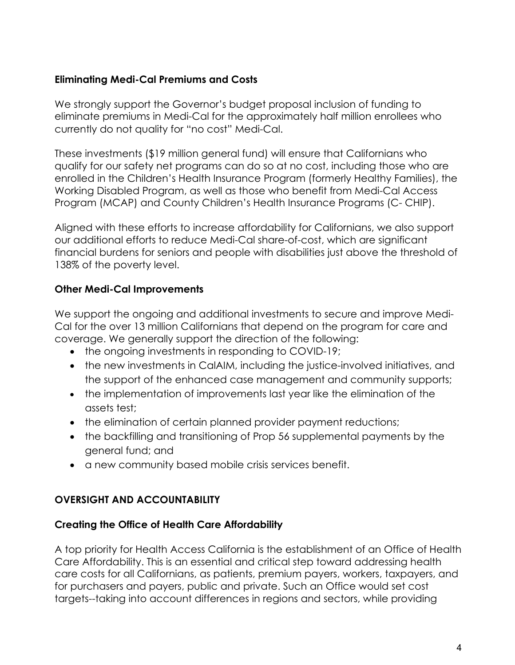# **Eliminating Medi-Cal Premiums and Costs**

We strongly support the Governor's budget proposal inclusion of funding to eliminate premiums in Medi-Cal for the approximately half million enrollees who currently do not quality for "no cost" Medi-Cal.

These investments (\$19 million general fund) will ensure that Californians who qualify for our safety net programs can do so at no cost, including those who are enrolled in the Children's Health Insurance Program (formerly Healthy Families), the Working Disabled Program, as well as those who benefit from Medi-Cal Access Program (MCAP) and County Children's Health Insurance Programs (C- CHIP).

Aligned with these efforts to increase affordability for Californians, we also support our additional efforts to reduce Medi-Cal share-of-cost, which are significant financial burdens for seniors and people with disabilities just above the threshold of 138% of the poverty level.

# **Other Medi-Cal Improvements**

We support the ongoing and additional investments to secure and improve Medi-Cal for the over 13 million Californians that depend on the program for care and coverage. We generally support the direction of the following:

- the ongoing investments in responding to COVID-19;
- the new investments in CalAIM, including the justice-involved initiatives, and the support of the enhanced case management and community supports;
- the implementation of improvements last year like the elimination of the assets test;
- the elimination of certain planned provider payment reductions;
- the backfilling and transitioning of Prop 56 supplemental payments by the general fund; and
- a new community based mobile crisis services benefit.

## **OVERSIGHT AND ACCOUNTABILITY**

## **Creating the Office of Health Care Affordability**

A top priority for Health Access California is the establishment of an Office of Health Care Affordability. This is an essential and critical step toward addressing health care costs for all Californians, as patients, premium payers, workers, taxpayers, and for purchasers and payers, public and private. Such an Office would set cost targets--taking into account differences in regions and sectors, while providing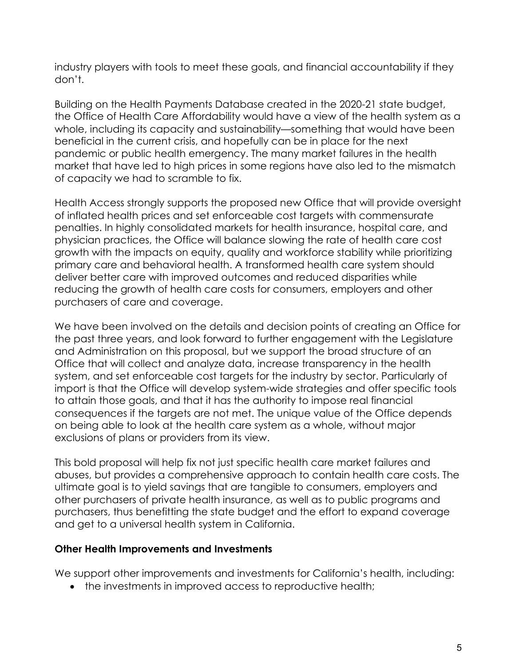industry players with tools to meet these goals, and financial accountability if they don't.

Building on the Health Payments Database created in the 2020-21 state budget, the Office of Health Care Affordability would have a view of the health system as a whole, including its capacity and sustainability—something that would have been beneficial in the current crisis, and hopefully can be in place for the next pandemic or public health emergency. The many market failures in the health market that have led to high prices in some regions have also led to the mismatch of capacity we had to scramble to fix.

Health Access strongly supports the proposed new Office that will provide oversight of inflated health prices and set enforceable cost targets with commensurate penalties. In highly consolidated markets for health insurance, hospital care, and physician practices, the Office will balance slowing the rate of health care cost growth with the impacts on equity, quality and workforce stability while prioritizing primary care and behavioral health. A transformed health care system should deliver better care with improved outcomes and reduced disparities while reducing the growth of health care costs for consumers, employers and other purchasers of care and coverage.

We have been involved on the details and decision points of creating an Office for the past three years, and look forward to further engagement with the Legislature and Administration on this proposal, but we support the broad structure of an Office that will collect and analyze data, increase transparency in the health system, and set enforceable cost targets for the industry by sector. Particularly of import is that the Office will develop system-wide strategies and offer specific tools to attain those goals, and that it has the authority to impose real financial consequences if the targets are not met. The unique value of the Office depends on being able to look at the health care system as a whole, without major exclusions of plans or providers from its view.

This bold proposal will help fix not just specific health care market failures and abuses, but provides a comprehensive approach to contain health care costs. The ultimate goal is to yield savings that are tangible to consumers, employers and other purchasers of private health insurance, as well as to public programs and purchasers, thus benefitting the state budget and the effort to expand coverage and get to a universal health system in California.

#### **Other Health Improvements and Investments**

We support other improvements and investments for California's health, including:

• the investments in improved access to reproductive health;